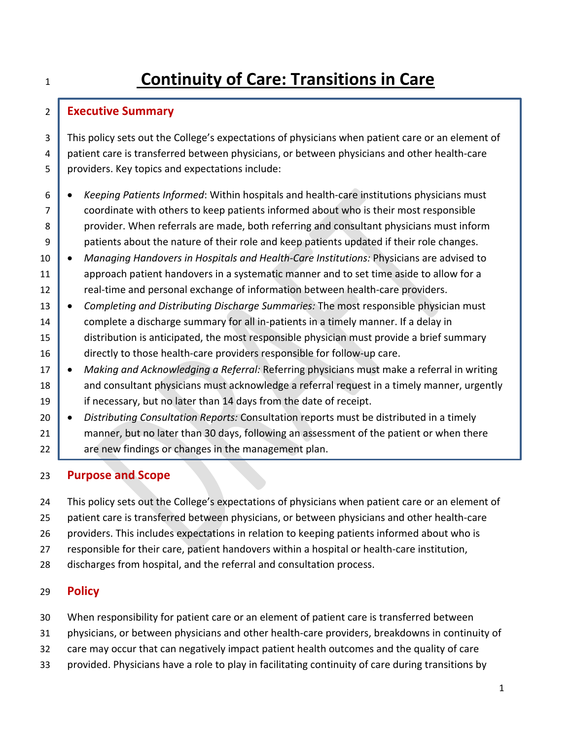# **Continuity of Care: Transitions in Care**

# **Executive Summary**

3 This policy sets out the College's expectations of physicians when patient care or an element of 4 patient care is transferred between physicians, or between physicians and other health-care providers. Key topics and expectations include:

- *Keeping Patients Informed*: Within hospitals and health-care institutions physicians must coordinate with others to keep patients informed about who is their most responsible 8 provider. When referrals are made, both referring and consultant physicians must inform 9 patients about the nature of their role and keep patients updated if their role changes.
- *Managing Handovers in Hospitals and Health-Care Institutions:* Physicians are advised to 11 approach patient handovers in a systematic manner and to set time aside to allow for a 12 real-time and personal exchange of information between health-care providers.
- *Completing and Distributing Discharge Summaries:* The most responsible physician must 14 complete a discharge summary for all in-patients in a timely manner. If a delay in 15 distribution is anticipated, the most responsible physician must provide a brief summary 16 directly to those health-care providers responsible for follow-up care.
- *Making and Acknowledging a Referral:* Referring physicians must make a referral in writing 18 and consultant physicians must acknowledge a referral request in a timely manner, urgently if necessary, but no later than 14 days from the date of receipt.
- *Distributing Consultation Reports:* Consultation reports must be distributed in a timely 21 manner, but no later than 30 days, following an assessment of the patient or when there 22 are new findings or changes in the management plan.

# **Purpose and Scope**

This policy sets out the College's expectations of physicians when patient care or an element of

- patient care is transferred between physicians, or between physicians and other health-care
- providers. This includes expectations in relation to keeping patients informed about who is
- responsible for their care, patient handovers within a hospital or health-care institution,
- discharges from hospital, and the referral and consultation process.

# **Policy**

- When responsibility for patient care or an element of patient care is transferred between
- physicians, or between physicians and other health-care providers, breakdowns in continuity of
- care may occur that can negatively impact patient health outcomes and the quality of care
- provided. Physicians have a role to play in facilitating continuity of care during transitions by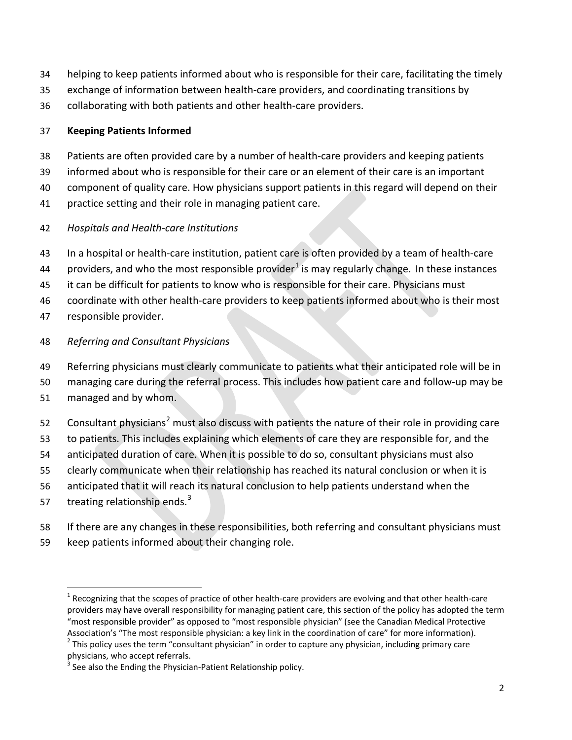- helping to keep patients informed about who is responsible for their care, facilitating the timely
- exchange of information between health-care providers, and coordinating transitions by
- collaborating with both patients and other health-care providers.

# **Keeping Patients Informed**

- Patients are often provided care by a number of health-care providers and keeping patients
- informed about who is responsible for their care or an element of their care is an important
- component of quality care. How physicians support patients in this regard will depend on their
- practice setting and their role in managing patient care.

# *Hospitals and Health-care Institutions*

- In a hospital or health-care institution, patient care is often provided by a team of health-care
- 44 providers, and who the most responsible provider<sup>[1](#page-1-0)</sup> is may regularly change. In these instances
- it can be difficult for patients to know who is responsible for their care. Physicians must
- coordinate with other health-care providers to keep patients informed about who is their most
- responsible provider.

# *Referring and Consultant Physicians*

- Referring physicians must clearly communicate to patients what their anticipated role will be in
- managing care during the referral process. This includes how patient care and follow-up may be
- managed and by whom.
- [2](#page-1-1) Consultant physicians<sup>2</sup> must also discuss with patients the nature of their role in providing care
- to patients. This includes explaining which elements of care they are responsible for, and the
- anticipated duration of care. When it is possible to do so, consultant physicians must also
- clearly communicate when their relationship has reached its natural conclusion or when it is
- anticipated that it will reach its natural conclusion to help patients understand when the
- $-$  treating relationship ends.<sup>[3](#page-1-2)</sup>
- If there are any changes in these responsibilities, both referring and consultant physicians must keep patients informed about their changing role.

<span id="page-1-0"></span> Recognizing that the scopes of practice of other health-care providers are evolving and that other health-care providers may have overall responsibility for managing patient care, this section of the policy has adopted the term "most responsible provider" as opposed to "most responsible physician" (see the Canadian Medical Protective

<span id="page-1-1"></span>Association's "The most responsible physician: a key link in the coordination of care" for more information). This policy uses the term "consultant physician" in order to capture any physician, including primary care physicians, who accept referrals.<br><sup>3</sup> See also the Ending the Physician-Patient Relationship policy.

<span id="page-1-2"></span>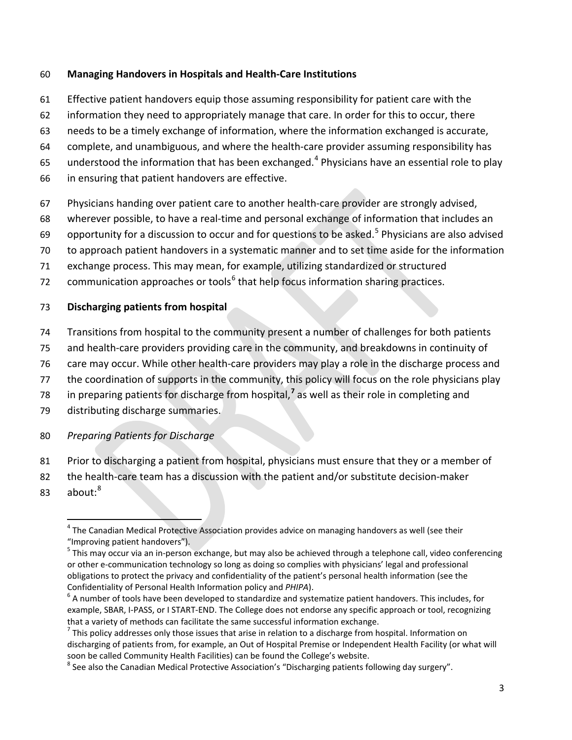#### **Managing Handovers in Hospitals and Health-Care Institutions**

- Effective patient handovers equip those assuming responsibility for patient care with the
- information they need to appropriately manage that care. In order for this to occur, there
- needs to be a timely exchange of information, where the information exchanged is accurate,
- complete, and unambiguous, and where the health-care provider assuming responsibility has
- 65 understood the information that has been exchanged.<sup>[4](#page-2-0)</sup> Physicians have an essential role to play
- in ensuring that patient handovers are effective.
- Physicians handing over patient care to another health-care provider are strongly advised,
- wherever possible, to have a real-time and personal exchange of information that includes an
- 69 opportunity for a discussion to occur and for questions to be asked.<sup>[5](#page-2-1)</sup> Physicians are also advised
- to approach patient handovers in a systematic manner and to set time aside for the information
- exchange process. This may mean, for example, utilizing standardized or structured
- 72 communication approaches or tools $<sup>6</sup>$  $<sup>6</sup>$  $<sup>6</sup>$  that help focus information sharing practices.</sup>

#### **Discharging patients from hospital**

- Transitions from hospital to the community present a number of challenges for both patients
- and health-care providers providing care in the community, and breakdowns in continuity of
- care may occur. While other health-care providers may play a role in the discharge process and
- the coordination of supports in the community, this policy will focus on the role physicians play
- 8 in preparing patients for discharge from hospital,<sup>7</sup> as well as their role in completing and
- distributing discharge summaries.
- *Preparing Patients for Discharge*
- Prior to discharging a patient from hospital, physicians must ensure that they or a member of
- the health-care team has a discussion with the patient and/or substitute decision-maker
- <span id="page-2-0"></span>3 about:<sup>8</sup>

<sup>&</sup>lt;sup>4</sup> The Canadian Medical Protective Association provides advice on managing handovers as well (see their "Improving patient handovers").

<span id="page-2-1"></span><sup>&</sup>lt;sup>5</sup> This may occur via an in-person exchange, but may also be achieved through a telephone call, video conferencing or other e-communication technology so long as doing so complies with physicians' legal and professional obligations to protect the privacy and confidentiality of the patient's personal health information (see the Confidentiality of Personal Health Information policy and *PHIPA*).<br><sup>6</sup> A number of tools have been developed to standardize and systematize patient handovers. This includes, for

<span id="page-2-2"></span>example, SBAR, I-PASS, or I START-END. The College does not endorse any specific approach or tool, recognizing that a variety of methods can facilitate the same successful information exchange.<br><sup>7</sup> This policy addresses only those issues that arise in relation to a discharge from hospital. Information on

<span id="page-2-3"></span>discharging of patients from, for example, an Out of Hospital Premise or Independent Health Facility (or what will soon be called Community Health Facilities) can be found the College's website.<br><sup>8</sup> See also the Canadian Medical Protective Association's "Discharging patients following day surgery".

<span id="page-2-4"></span>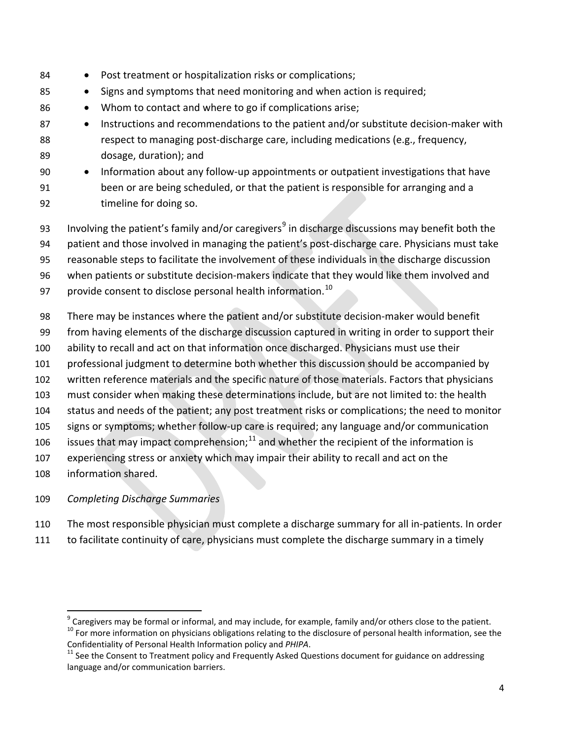- 84 Post treatment or hospitalization risks or complications; • Signs and symptoms that need monitoring and when action is required; 86 • Whom to contact and where to go if complications arise; 87 • Instructions and recommendations to the patient and/or substitute decision-maker with respect to managing post-discharge care, including medications (e.g., frequency, dosage, duration); and • Information about any follow-up appointments or outpatient investigations that have been or are being scheduled, or that the patient is responsible for arranging and a
- timeline for doing so.
- 3 Involving the patient's family and/or caregivers<sup>9</sup> in discharge discussions may benefit both the
- patient and those involved in managing the patient's post-discharge care. Physicians must take
- reasonable steps to facilitate the involvement of these individuals in the discharge discussion
- when patients or substitute decision-makers indicate that they would like them involved and
- 97 provide consent to disclose personal health information.<sup>[10](#page-3-1)</sup>
- There may be instances where the patient and/or substitute decision-maker would benefit
- from having elements of the discharge discussion captured in writing in order to support their
- ability to recall and act on that information once discharged. Physicians must use their
- professional judgment to determine both whether this discussion should be accompanied by
- written reference materials and the specific nature of those materials. Factors that physicians
- must consider when making these determinations include, but are not limited to: the health
- status and needs of the patient; any post treatment risks or complications; the need to monitor
- signs or symptoms; whether follow-up care is required; any language and/or communication
- 106 issues that may impact comprehension; $^{11}$  $^{11}$  $^{11}$  and whether the recipient of the information is
- experiencing stress or anxiety which may impair their ability to recall and act on the
- information shared.
- *Completing Discharge Summaries*
- The most responsible physician must complete a discharge summary for all in-patients. In order
- to facilitate continuity of care, physicians must complete the discharge summary in a timely

<span id="page-3-1"></span><span id="page-3-0"></span><sup>&</sup>lt;sup>9</sup> Caregivers may be formal or informal, and may include, for example, family and/or others close to the patient.<br><sup>10</sup> For more information on physicians obligations relating to the disclosure of personal health informat

<span id="page-3-2"></span><sup>&</sup>lt;sup>11</sup> See the Consent to Treatment policy and Frequently Asked Questions document for guidance on addressing language and/or communication barriers.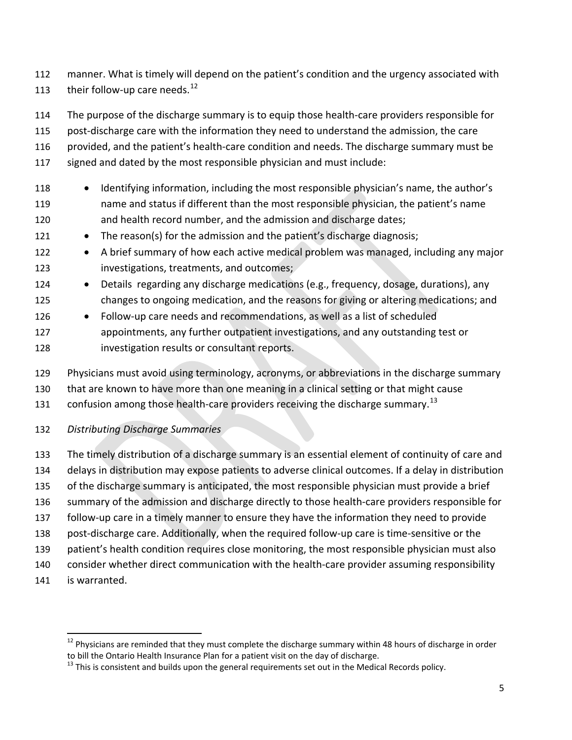- manner. What is timely will depend on the patient's condition and the urgency associated with 113 their follow-up care needs. $^{12}$  $^{12}$  $^{12}$
- The purpose of the discharge summary is to equip those health-care providers responsible for
- post-discharge care with the information they need to understand the admission, the care
- provided, and the patient's health-care condition and needs. The discharge summary must be
- signed and dated by the most responsible physician and must include:
- Identifying information, including the most responsible physician's name, the author's name and status if different than the most responsible physician, the patient's name and health record number, and the admission and discharge dates;
- 121 The reason(s) for the admission and the patient's discharge diagnosis;
- A brief summary of how each active medical problem was managed, including any major investigations, treatments, and outcomes;
- 124 Details regarding any discharge medications (e.g., frequency, dosage, durations), any changes to ongoing medication, and the reasons for giving or altering medications; and
- Follow-up care needs and recommendations, as well as a list of scheduled appointments, any further outpatient investigations, and any outstanding test or investigation results or consultant reports.
- Physicians must avoid using terminology, acronyms, or abbreviations in the discharge summary
- that are known to have more than one meaning in a clinical setting or that might cause
- [13](#page-4-1)1  $\phantom{1}$  confusion among those health-care providers receiving the discharge summary.<sup>13</sup>
- *Distributing Discharge Summaries*
- The timely distribution of a discharge summary is an essential element of continuity of care and delays in distribution may expose patients to adverse clinical outcomes. If a delay in distribution of the discharge summary is anticipated, the most responsible physician must provide a brief summary of the admission and discharge directly to those health-care providers responsible for follow-up care in a timely manner to ensure they have the information they need to provide post-discharge care. Additionally, when the required follow-up care is time-sensitive or the patient's health condition requires close monitoring, the most responsible physician must also consider whether direct communication with the health-care provider assuming responsibility
- is warranted.

<span id="page-4-0"></span>Physicians are reminded that they must complete the discharge summary within 48 hours of discharge in order to bill the Ontario Health Insurance Plan for a patient visit on the day of discharge.

<span id="page-4-1"></span>This is consistent and builds upon the general requirements set out in the Medical Records policy.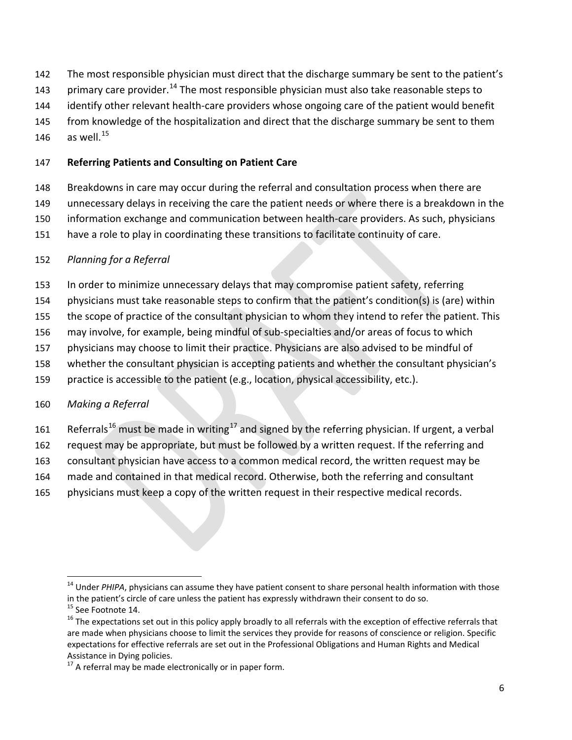- The most responsible physician must direct that the discharge summary be sent to the patient's
- 3 primary care provider.<sup>14</sup> The most responsible physician must also take reasonable steps to
- identify other relevant health-care providers whose ongoing care of the patient would benefit
- 145 from knowledge of the hospitalization and direct that the discharge summary be sent to them
- 146 as well.<sup>[15](#page-5-1)</sup>

### **Referring Patients and Consulting on Patient Care**

- Breakdowns in care may occur during the referral and consultation process when there are
- unnecessary delays in receiving the care the patient needs or where there is a breakdown in the
- information exchange and communication between health-care providers. As such, physicians
- have a role to play in coordinating these transitions to facilitate continuity of care.

# *Planning for a Referral*

- In order to minimize unnecessary delays that may compromise patient safety, referring
- physicians must take reasonable steps to confirm that the patient's condition(s) is (are) within
- the scope of practice of the consultant physician to whom they intend to refer the patient. This
- may involve, for example, being mindful of sub-specialties and/or areas of focus to which
- physicians may choose to limit their practice. Physicians are also advised to be mindful of
- whether the consultant physician is accepting patients and whether the consultant physician's
- practice is accessible to the patient (e.g., location, physical accessibility, etc.).

# *Making a Referral*

- 1 Referrals<sup>16</sup> must be made in writing<sup>[17](#page-5-3)</sup> and signed by the referring physician. If urgent, a verbal
- request may be appropriate, but must be followed by a written request. If the referring and
- consultant physician have access to a common medical record, the written request may be
- made and contained in that medical record. Otherwise, both the referring and consultant
- physicians must keep a copy of the written request in their respective medical records.

<span id="page-5-0"></span><sup>&</sup>lt;sup>14</sup> Under *PHIPA*, physicians can assume they have patient consent to share personal health information with those in the patient's circle of care unless the patient has expressly withdrawn their consent to do so.<br>
<sup>15</sup> See Footnote 14.<br>
<sup>16</sup> The expectations set out in this policy apply broadly to all referrals with the exception of

<span id="page-5-2"></span><span id="page-5-1"></span>are made when physicians choose to limit the services they provide for reasons of conscience or religion. Specific expectations for effective referrals are set out in the Professional Obligations and Human Rights and Medical Assistance in Dying policies.

<span id="page-5-3"></span>A referral may be made electronically or in paper form.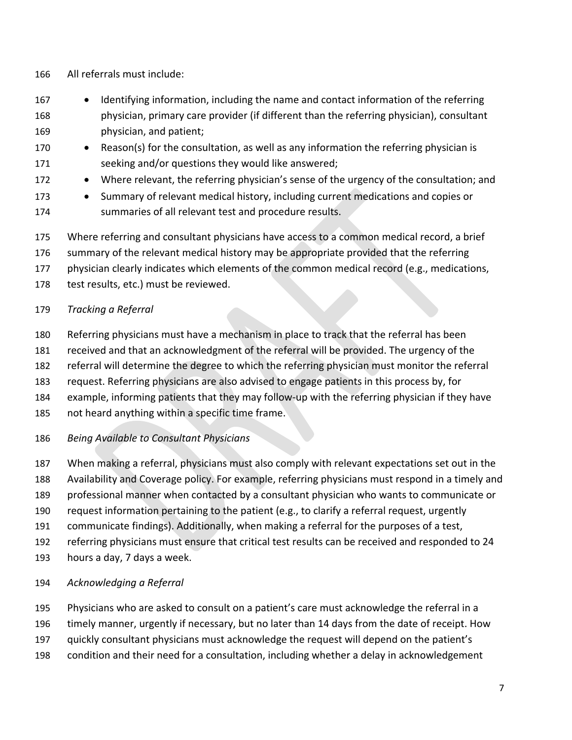- All referrals must include:
- Identifying information, including the name and contact information of the referring physician, primary care provider (if different than the referring physician), consultant physician, and patient;
- 170 Reason(s) for the consultation, as well as any information the referring physician is seeking and/or questions they would like answered;
- Where relevant, the referring physician's sense of the urgency of the consultation; and
- Summary of relevant medical history, including current medications and copies or summaries of all relevant test and procedure results.
- Where referring and consultant physicians have access to a common medical record, a brief
- summary of the relevant medical history may be appropriate provided that the referring
- physician clearly indicates which elements of the common medical record (e.g., medications,
- 178 test results, etc.) must be reviewed.

# *Tracking a Referral*

- Referring physicians must have a mechanism in place to track that the referral has been
- received and that an acknowledgment of the referral will be provided. The urgency of the
- referral will determine the degree to which the referring physician must monitor the referral
- request. Referring physicians are also advised to engage patients in this process by, for
- example, informing patients that they may follow-up with the referring physician if they have
- not heard anything within a specific time frame.
- *Being Available to Consultant Physicians*
- When making a referral, physicians must also comply with relevant expectations set out in the
- Availability and Coverage policy. For example, referring physicians must respond in a timely and
- professional manner when contacted by a consultant physician who wants to communicate or
- request information pertaining to the patient (e.g., to clarify a referral request, urgently
- communicate findings). Additionally, when making a referral for the purposes of a test,
- referring physicians must ensure that critical test results can be received and responded to 24
- hours a day, 7 days a week.
- *Acknowledging a Referral*
- Physicians who are asked to consult on a patient's care must acknowledge the referral in a
- timely manner, urgently if necessary, but no later than 14 days from the date of receipt. How
- quickly consultant physicians must acknowledge the request will depend on the patient's
- condition and their need for a consultation, including whether a delay in acknowledgement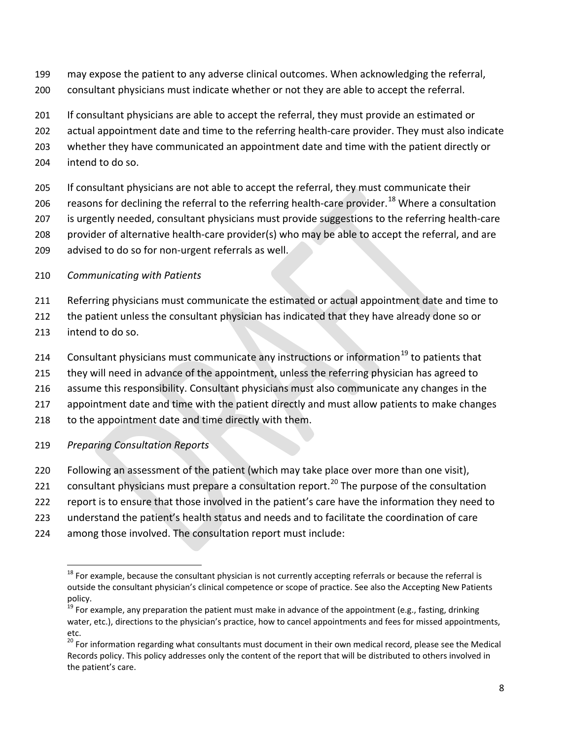- may expose the patient to any adverse clinical outcomes. When acknowledging the referral,
- consultant physicians must indicate whether or not they are able to accept the referral.
- If consultant physicians are able to accept the referral, they must provide an estimated or
- actual appointment date and time to the referring health-care provider. They must also indicate
- whether they have communicated an appointment date and time with the patient directly or
- intend to do so.
- If consultant physicians are not able to accept the referral, they must communicate their
- 206 reasons for declining the referral to the referring health-care provider.<sup>[18](#page-7-0)</sup> Where a consultation
- 207 is urgently needed, consultant physicians must provide suggestions to the referring health-care
- provider of alternative health-care provider(s) who may be able to accept the referral, and are
- advised to do so for non-urgent referrals as well.

## *Communicating with Patients*

- Referring physicians must communicate the estimated or actual appointment date and time to
- 212 the patient unless the consultant physician has indicated that they have already done so or
- intend to do so.
- 214 Consultant physicians must communicate any instructions or information<sup>[19](#page-7-1)</sup> to patients that
- 215 they will need in advance of the appointment, unless the referring physician has agreed to
- assume this responsibility. Consultant physicians must also communicate any changes in the
- appointment date and time with the patient directly and must allow patients to make changes
- 218 to the appointment date and time directly with them.
- *Preparing Consultation Reports*
- Following an assessment of the patient (which may take place over more than one visit),
- 221 consultant physicians must prepare a consultation report.<sup>[20](#page-7-2)</sup> The purpose of the consultation
- report is to ensure that those involved in the patient's care have the information they need to
- understand the patient's health status and needs and to facilitate the coordination of care
- <span id="page-7-0"></span>among those involved. The consultation report must include:

 For example, because the consultant physician is not currently accepting referrals or because the referral is outside the consultant physician's clinical competence or scope of practice. See also the Accepting New Patients policy.

<span id="page-7-1"></span> For example, any preparation the patient must make in advance of the appointment (e.g., fasting, drinking water, etc.), directions to the physician's practice, how to cancel appointments and fees for missed appointments, etc.

<span id="page-7-2"></span><sup>&</sup>lt;sup>20</sup> For information regarding what consultants must document in their own medical record, please see the Medical Records policy. This policy addresses only the content of the report that will be distributed to others involved in the patient's care.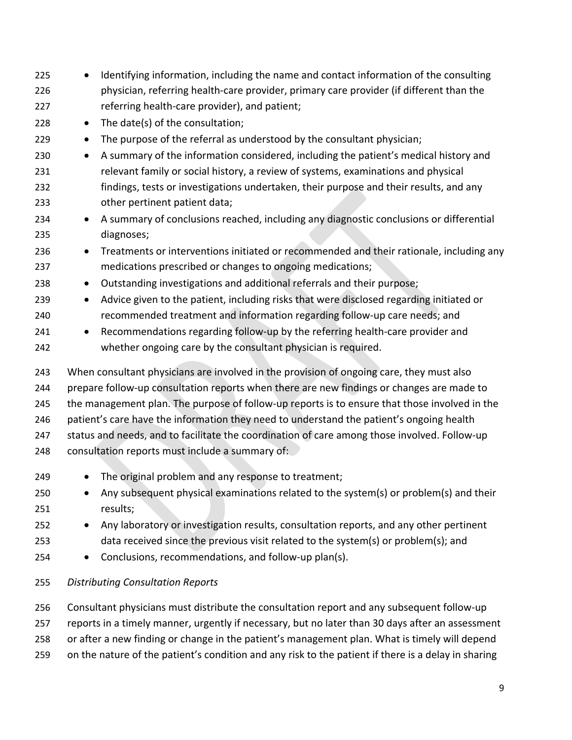| 225<br>226 | Identifying information, including the name and contact information of the consulting<br>$\bullet$<br>physician, referring health-care provider, primary care provider (if different than the |
|------------|-----------------------------------------------------------------------------------------------------------------------------------------------------------------------------------------------|
| 227        | referring health-care provider), and patient;                                                                                                                                                 |
| 228        | The date(s) of the consultation;<br>$\bullet$                                                                                                                                                 |
| 229        | The purpose of the referral as understood by the consultant physician;<br>$\bullet$                                                                                                           |
| 230        | A summary of the information considered, including the patient's medical history and<br>$\bullet$                                                                                             |
| 231        | relevant family or social history, a review of systems, examinations and physical                                                                                                             |
| 232        | findings, tests or investigations undertaken, their purpose and their results, and any                                                                                                        |
| 233        | other pertinent patient data;                                                                                                                                                                 |
| 234<br>235 | A summary of conclusions reached, including any diagnostic conclusions or differential<br>$\bullet$<br>diagnoses;                                                                             |
| 236        | Treatments or interventions initiated or recommended and their rationale, including any<br>$\bullet$                                                                                          |
| 237        | medications prescribed or changes to ongoing medications;                                                                                                                                     |
| 238        | Outstanding investigations and additional referrals and their purpose;<br>$\bullet$                                                                                                           |
| 239        | Advice given to the patient, including risks that were disclosed regarding initiated or<br>$\bullet$                                                                                          |
| 240        | recommended treatment and information regarding follow-up care needs; and                                                                                                                     |
| 241        | Recommendations regarding follow-up by the referring health-care provider and<br>$\bullet$                                                                                                    |
| 242        | whether ongoing care by the consultant physician is required.                                                                                                                                 |
| 243        | When consultant physicians are involved in the provision of ongoing care, they must also                                                                                                      |
| 244        | prepare follow-up consultation reports when there are new findings or changes are made to                                                                                                     |
| 245        | the management plan. The purpose of follow-up reports is to ensure that those involved in the                                                                                                 |
| 246        | patient's care have the information they need to understand the patient's ongoing health                                                                                                      |
| 247        | status and needs, and to facilitate the coordination of care among those involved. Follow-up                                                                                                  |
| 248        | consultation reports must include a summary of:                                                                                                                                               |
| 249        | The original problem and any response to treatment;                                                                                                                                           |
| 250        | Any subsequent physical examinations related to the system(s) or problem(s) and their                                                                                                         |
| 251        | results;                                                                                                                                                                                      |
| 252        | Any laboratory or investigation results, consultation reports, and any other pertinent<br>$\bullet$                                                                                           |
| 253        | data received since the previous visit related to the system(s) or problem(s); and                                                                                                            |
| 254        | Conclusions, recommendations, and follow-up plan(s).<br>$\bullet$                                                                                                                             |
| 255        | <b>Distributing Consultation Reports</b>                                                                                                                                                      |
| 256        | Consultant physicians must distribute the consultation report and any subsequent follow-up                                                                                                    |
| 257        | reports in a timely manner, urgently if necessary, but no later than 30 days after an assessment                                                                                              |
| 258        | or after a new finding or change in the patient's management plan. What is timely will depend                                                                                                 |
| 259        | on the nature of the patient's condition and any risk to the patient if there is a delay in sharing                                                                                           |